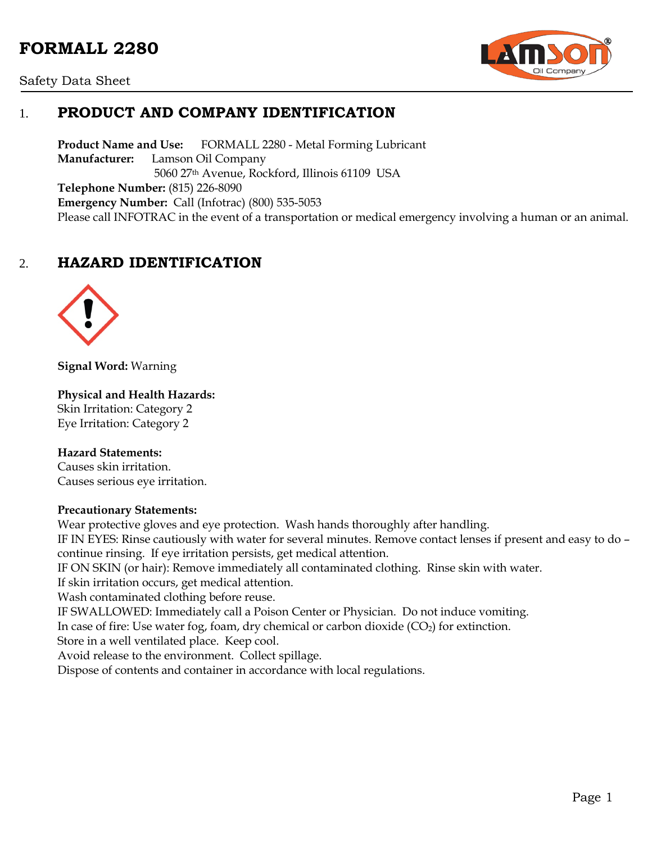# **FORMALL 2280**





# 1. **PRODUCT AND COMPANY IDENTIFICATION**

**Product Name and Use:** FORMALL 2280 - Metal Forming Lubricant **Manufacturer:** Lamson Oil Company 5060 27th Avenue, Rockford, Illinois 61109 USA **Telephone Number:** (815) 226-8090 **Emergency Number:** Call (Infotrac) (800) 535-5053 Please call INFOTRAC in the event of a transportation or medical emergency involving a human or an animal.

# 2. **HAZARD IDENTIFICATION**



**Signal Word:** Warning

#### **Physical and Health Hazards:**

Skin Irritation: Category 2 Eye Irritation: Category 2

#### **Hazard Statements:**

Causes skin irritation. Causes serious eye irritation.

#### **Precautionary Statements:**

Wear protective gloves and eye protection. Wash hands thoroughly after handling. IF IN EYES: Rinse cautiously with water for several minutes. Remove contact lenses if present and easy to do – continue rinsing. If eye irritation persists, get medical attention. IF ON SKIN (or hair): Remove immediately all contaminated clothing. Rinse skin with water. If skin irritation occurs, get medical attention. Wash contaminated clothing before reuse. IF SWALLOWED: Immediately call a Poison Center or Physician. Do not induce vomiting. In case of fire: Use water fog, foam, dry chemical or carbon dioxide  $(CO<sub>2</sub>)$  for extinction. Store in a well ventilated place. Keep cool. Avoid release to the environment. Collect spillage. Dispose of contents and container in accordance with local regulations.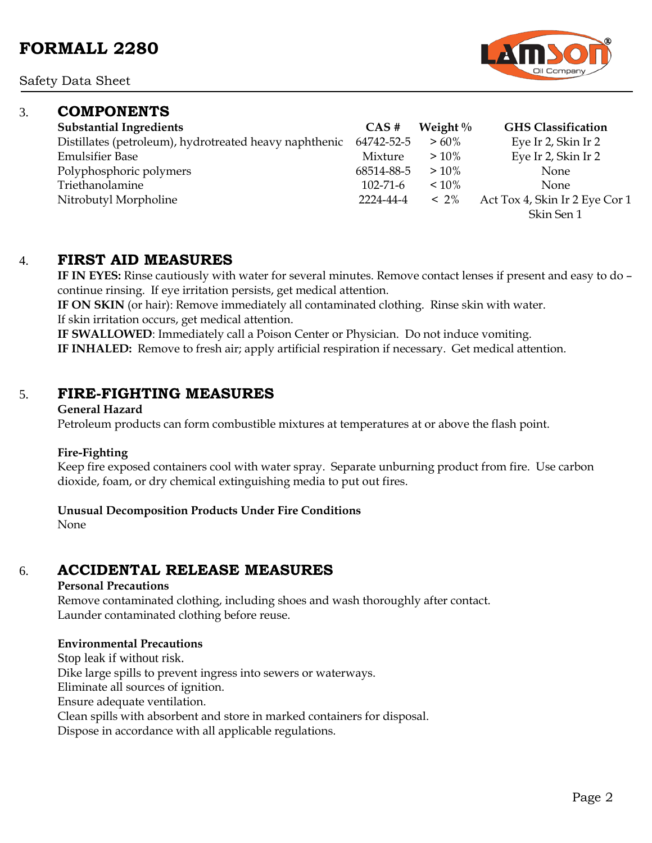Safety Data Sheet

### 3. **COMPONENTS**

| <b>Substantial Ingredients</b>                         | $CAS \#$       | Weight $\%$ | <b>GHS</b> Classification      |
|--------------------------------------------------------|----------------|-------------|--------------------------------|
| Distillates (petroleum), hydrotreated heavy naphthenic | 64742-52-5     | $>60\%$     | Eye Ir 2, Skin Ir 2            |
| <b>Emulsifier Base</b>                                 | Mixture        | $>10\%$     | Eye Ir 2, Skin Ir 2            |
| Polyphosphoric polymers                                | 68514-88-5     | $>10\%$     | <b>None</b>                    |
| Triethanolamine                                        | $102 - 71 - 6$ | $~10\%$     | <b>None</b>                    |
| Nitrobutyl Morpholine                                  | 2224-44-4      | $~12\%$     | Act Tox 4, Skin Ir 2 Eye Cor 1 |
|                                                        |                |             | Skin Sen 1                     |

### 4. **FIRST AID MEASURES**

**IF IN EYES:** Rinse cautiously with water for several minutes. Remove contact lenses if present and easy to do – continue rinsing. If eye irritation persists, get medical attention.

**IF ON SKIN** (or hair): Remove immediately all contaminated clothing. Rinse skin with water. If skin irritation occurs, get medical attention.

**IF SWALLOWED**: Immediately call a Poison Center or Physician. Do not induce vomiting. **IF INHALED:** Remove to fresh air; apply artificial respiration if necessary. Get medical attention.

### 5. **FIRE-FIGHTING MEASURES**

#### **General Hazard**

Petroleum products can form combustible mixtures at temperatures at or above the flash point.

### **Fire-Fighting**

Keep fire exposed containers cool with water spray. Separate unburning product from fire. Use carbon dioxide, foam, or dry chemical extinguishing media to put out fires.

### **Unusual Decomposition Products Under Fire Conditions**

None

### 6. **ACCIDENTAL RELEASE MEASURES**

#### **Personal Precautions**

Remove contaminated clothing, including shoes and wash thoroughly after contact. Launder contaminated clothing before reuse.

### **Environmental Precautions**

Stop leak if without risk. Dike large spills to prevent ingress into sewers or waterways. Eliminate all sources of ignition. Ensure adequate ventilation. Clean spills with absorbent and store in marked containers for disposal. Dispose in accordance with all applicable regulations.

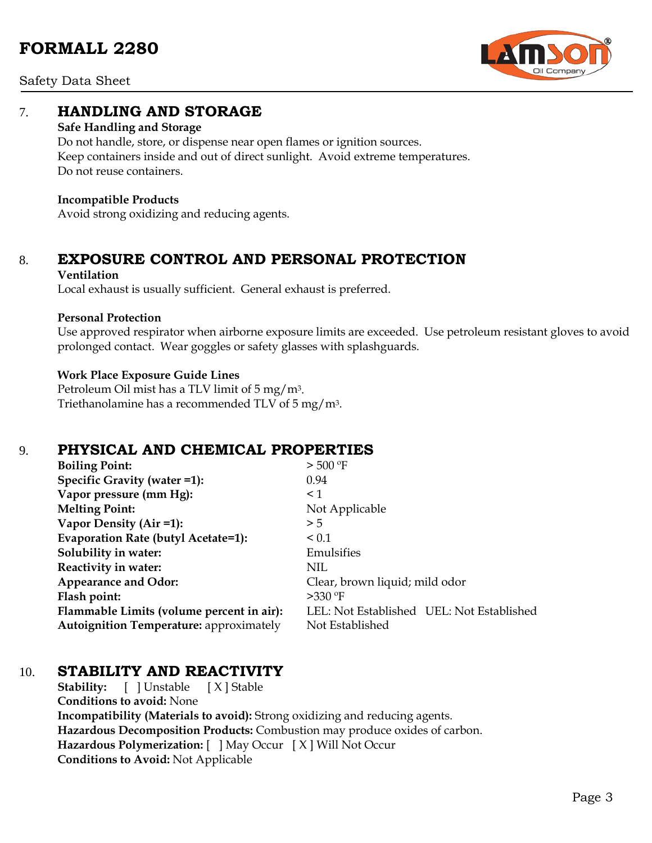

Safety Data Sheet

### 7. **HANDLING AND STORAGE**

### **Safe Handling and Storage**

Do not handle, store, or dispense near open flames or ignition sources. Keep containers inside and out of direct sunlight. Avoid extreme temperatures. Do not reuse containers.

### **Incompatible Products**

Avoid strong oxidizing and reducing agents.

# 8. **EXPOSURE CONTROL AND PERSONAL PROTECTION**

### **Ventilation**

Local exhaust is usually sufficient. General exhaust is preferred.

### **Personal Protection**

Use approved respirator when airborne exposure limits are exceeded. Use petroleum resistant gloves to avoid prolonged contact. Wear goggles or safety glasses with splashguards.

### **Work Place Exposure Guide Lines**

Petroleum Oil mist has a TLV limit of 5 mg/m3. Triethanolamine has a recommended TLV of 5 mg/m3.

# 9. **PHYSICAL AND CHEMICAL PROPERTIES**

| <b>Boiling Point:</b>                          | $>$ 500 °F                                |
|------------------------------------------------|-------------------------------------------|
| Specific Gravity (water =1):                   | 0.94                                      |
| Vapor pressure (mm Hg):                        | $\leq 1$                                  |
| <b>Melting Point:</b>                          | Not Applicable                            |
| Vapor Density (Air =1):                        | > 5                                       |
| Evaporation Rate (butyl Acetate=1):            | $\leq 0.1$                                |
| Solubility in water:                           | Emulsifies                                |
| Reactivity in water:                           | NIL                                       |
| <b>Appearance and Odor:</b>                    | Clear, brown liquid; mild odor            |
| Flash point:                                   | $>330$ °F                                 |
| Flammable Limits (volume percent in air):      | LEL: Not Established UEL: Not Established |
| <b>Autoignition Temperature: approximately</b> | Not Established                           |

### 10. **STABILITY AND REACTIVITY**

**Stability:** [ ] Unstable [ X ] Stable **Conditions to avoid:** None **Incompatibility (Materials to avoid):** Strong oxidizing and reducing agents. **Hazardous Decomposition Products:** Combustion may produce oxides of carbon. **Hazardous Polymerization:** [ ] May Occur [ X ] Will Not Occur **Conditions to Avoid:** Not Applicable